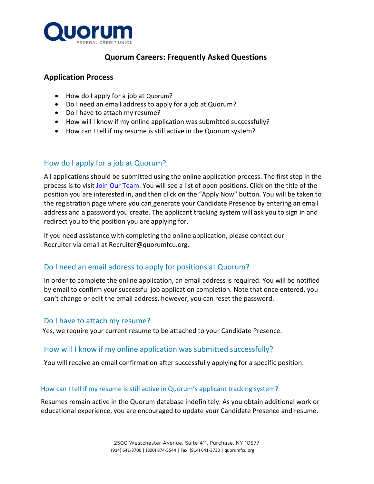

# Quorum Careers: Frequently Asked Questions

### Application Process

- How do I apply for a job at Quorum?
- Do I need an email address to apply for a job at Quorum?
- Do I have to attach my resume?
- How will I know if my online application was submitted successfully?
- How can I tell if my resume is still active in the Quorum system?

#### How do I apply for a job at Quorum?

All applications should be submitted using the online application process. The first step in the process is to visit Join Our Team. You will see a list of open positions. Click on the title of the position you are interested in, and then click on the "Apply Now" button. You will be taken to the registration page where you can generate your Candidate Presence by entering an email address and a password you create. The applicant tracking system will ask you to sign in and redirect you to the position you are applying for.

If you need assistance with completing the online application, please contact our Recruiter via email at Recruiter@quorumfcu.org.

### Do I need an email address to apply for positions at Quorum?

In order to complete the online application, an email address is required. You will be notified by email to confirm your successful job application completion. Note that once entered, you can't change or edit the email address, however, you can reset the password.

#### Do I have to attach my resume?

Yes, we require your current resume to be attached to your Candidate Presence.

#### How will I know if my online application was submitted successfully?

You will receive an email confirmation after successfully applying for a specific position.

#### How can I tell if my resume is still active in Quorum's applicant tracking system?

Resumes remain active in the Quorum database indefinitely. As you obtain additional work or educational experience, you are encouraged to update your Candidate Presence and resume.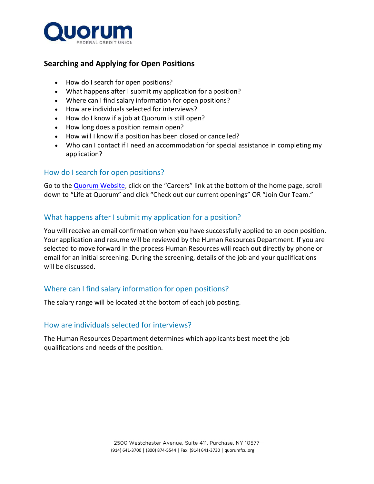

# Searching and Applying for Open Positions

- How do I search for open positions?
- What happens after I submit my application for a position?
- Where can I find salary information for open positions?
- How are individuals selected for interviews?
- How do I know if a job at Quorum is still open?
- How long does a position remain open?
- How will I know if a position has been closed or cancelled?
- Who can I contact if I need an accommodation for special assistance in completing my application?

### How do I search for open positions?

Go to the Quorum Website, click on the "Careers" link at the bottom of the home page, scroll down to "Life at Quorum" and click "Check out our current openings" OR "Join Our Team."

## What happens after I submit my application for a position?

You will receive an email confirmation when you have successfully applied to an open position. Your application and resume will be reviewed by the Human Resources Department. If you are selected to move forward in the process Human Resources will reach out directly by phone or email for an initial screening. During the screening, details of the job and your qualifications will be discussed.

### Where can I find salary information for open positions?

The salary range will be located at the bottom of each job posting.

### How are individuals selected for interviews?

The Human Resources Department determines which applicants best meet the job qualifications and needs of the position.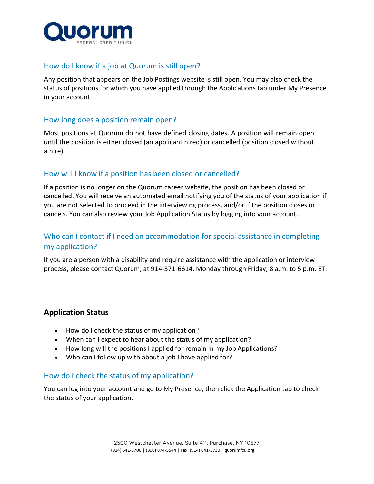

### How do I know if a job at Quorum is still open?

Any position that appears on the Job Postings website is still open. You may also check the status of positions for which you have applied through the Applications tab under My Presence in your account.

#### How long does a position remain open?

Most positions at Quorum do not have defined closing dates. A position will remain open until the position is either closed (an applicant hired) or cancelled (position closed without a hire).

#### How will I know if a position has been closed or cancelled?

If a position is no longer on the Quorum career website, the position has been closed or cancelled. You will receive an automated email notifying you of the status of your application if you are not selected to proceed in the interviewing process, and/or if the position closes or cancels. You can also review your Job Application Status by logging into your account.

# Who can I contact if I need an accommodation for special assistance in completing my application?

If you are a person with a disability and require assistance with the application or interview process, please contact Quorum, at 914-371-6614, Monday through Friday, 8 a.m. to 5 p.m. ET.

### Application Status

- How do I check the status of my application?
- When can I expect to hear about the status of my application?
- How long will the positions I applied for remain in my Job Applications?
- Who can I follow up with about a job I have applied for?

#### How do I check the status of my application?

You can log into your account and go to My Presence, then click the Application tab to check the status of your application.